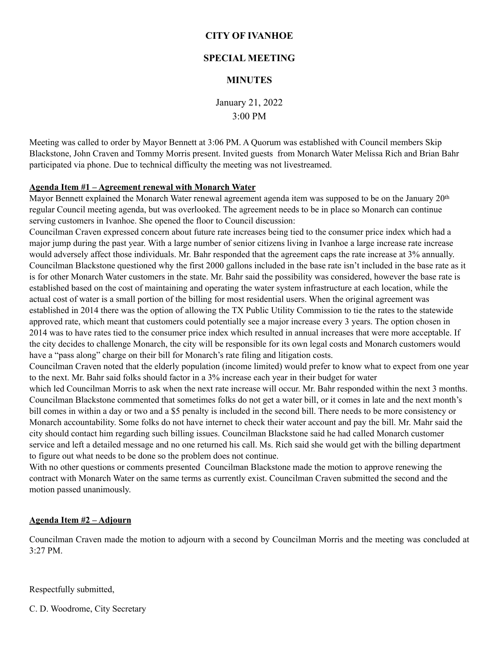# **CITY OF IVANHOE**

# **SPECIAL MEETING**

# **MINUTES**

January 21, 2022 3:00 PM

Meeting was called to order by Mayor Bennett at 3:06 PM. A Quorum was established with Council members Skip Blackstone, John Craven and Tommy Morris present. Invited guests from Monarch Water Melissa Rich and Brian Bahr participated via phone. Due to technical difficulty the meeting was not livestreamed.

#### **Agenda Item #1 – Agreement renewal with Monarch Water**

Mayor Bennett explained the Monarch Water renewal agreement agenda item was supposed to be on the January 20<sup>th</sup> regular Council meeting agenda, but was overlooked. The agreement needs to be in place so Monarch can continue serving customers in Ivanhoe. She opened the floor to Council discussion:

Councilman Craven expressed concern about future rate increases being tied to the consumer price index which had a major jump during the past year. With a large number of senior citizens living in Ivanhoe a large increase rate increase would adversely affect those individuals. Mr. Bahr responded that the agreement caps the rate increase at 3% annually. Councilman Blackstone questioned why the first 2000 gallons included in the base rate isn't included in the base rate as it is for other Monarch Water customers in the state. Mr. Bahr said the possibility was considered, however the base rate is established based on the cost of maintaining and operating the water system infrastructure at each location, while the actual cost of water is a small portion of the billing for most residential users. When the original agreement was established in 2014 there was the option of allowing the TX Public Utility Commission to tie the rates to the statewide approved rate, which meant that customers could potentially see a major increase every 3 years. The option chosen in 2014 was to have rates tied to the consumer price index which resulted in annual increases that were more acceptable. If the city decides to challenge Monarch, the city will be responsible for its own legal costs and Monarch customers would have a "pass along" charge on their bill for Monarch's rate filing and litigation costs.

Councilman Craven noted that the elderly population (income limited) would prefer to know what to expect from one year to the next. Mr. Bahr said folks should factor in a 3% increase each year in their budget for water

which led Councilman Morris to ask when the next rate increase will occur. Mr. Bahr responded within the next 3 months. Councilman Blackstone commented that sometimes folks do not get a water bill, or it comes in late and the next month's bill comes in within a day or two and a \$5 penalty is included in the second bill. There needs to be more consistency or Monarch accountability. Some folks do not have internet to check their water account and pay the bill. Mr. Mahr said the city should contact him regarding such billing issues. Councilman Blackstone said he had called Monarch customer service and left a detailed message and no one returned his call. Ms. Rich said she would get with the billing department to figure out what needs to be done so the problem does not continue.

With no other questions or comments presented Councilman Blackstone made the motion to approve renewing the contract with Monarch Water on the same terms as currently exist. Councilman Craven submitted the second and the motion passed unanimously.

#### **Agenda Item #2 – Adjourn**

Councilman Craven made the motion to adjourn with a second by Councilman Morris and the meeting was concluded at 3:27 PM.

Respectfully submitted,

C. D. Woodrome, City Secretary